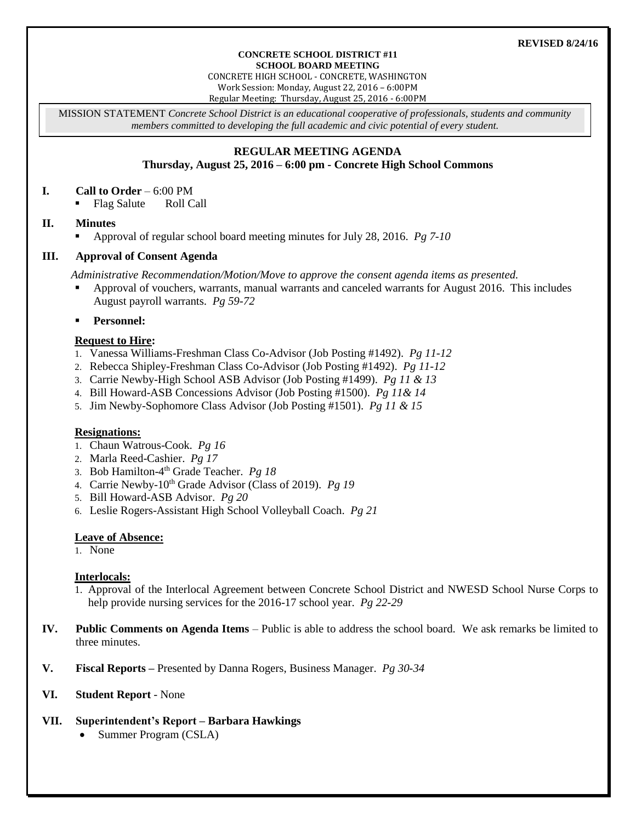#### **CONCRETE SCHOOL DISTRICT #11 SCHOOL BOARD MEETING**

CONCRETE HIGH SCHOOL - CONCRETE, WASHINGTON Work Session: Monday, August 22, 2016 – 6:00PM

Regular Meeting: Thursday, August 25, 2016 - 6:00PM

MISSION STATEMENT *Concrete School District is an educational cooperative of professionals, students and community members committed to developing the full academic and civic potential of every student.*

# **REGULAR MEETING AGENDA**

## **Thursday, August 25, 2016 – 6:00 pm - Concrete High School Commons**

#### **I. Call to Order** – 6:00 PM

• Flag Salute Roll Call

### **II. Minutes**

Approval of regular school board meeting minutes for July 28, 2016. *Pg 7-10*

### **III. Approval of Consent Agenda**

*Administrative Recommendation/Motion/Move to approve the consent agenda items as presented.*

- Approval of vouchers, warrants, manual warrants and canceled warrants for August 2016. This includes August payroll warrants. *Pg 59-72*
- **Personnel:**

### **Request to Hire:**

- 1. Vanessa Williams-Freshman Class Co-Advisor (Job Posting #1492). *Pg 11-12*
- 2. Rebecca Shipley-Freshman Class Co-Advisor (Job Posting #1492). *Pg 11-12*
- 3. Carrie Newby-High School ASB Advisor (Job Posting #1499). *Pg 11 & 13*
- 4. Bill Howard-ASB Concessions Advisor (Job Posting #1500). *Pg 11& 14*
- 5. Jim Newby-Sophomore Class Advisor (Job Posting #1501). *Pg 11 & 15*

#### **Resignations:**

- 1. Chaun Watrous-Cook. *Pg 16*
- 2. Marla Reed-Cashier. *Pg 17*
- 3. Bob Hamilton-4 th Grade Teacher. *Pg 18*
- 4. Carrie Newby-10th Grade Advisor (Class of 2019). *Pg 19*
- 5. Bill Howard-ASB Advisor. *Pg 20*
- 6. Leslie Rogers-Assistant High School Volleyball Coach. *Pg 21*

#### **Leave of Absence:**

1. None

### **Interlocals:**

- 1. Approval of the Interlocal Agreement between Concrete School District and NWESD School Nurse Corps to help provide nursing services for the 2016-17 school year. *Pg 22-29*
- **IV. Public Comments on Agenda Items** Public is able to address the school board. We ask remarks be limited to three minutes.
- **V. Fiscal Reports –** Presented by Danna Rogers, Business Manager. *Pg 30-34*

### **VI. Student Report** - None

- **VII. Superintendent's Report – Barbara Hawkings**
	- Summer Program (CSLA)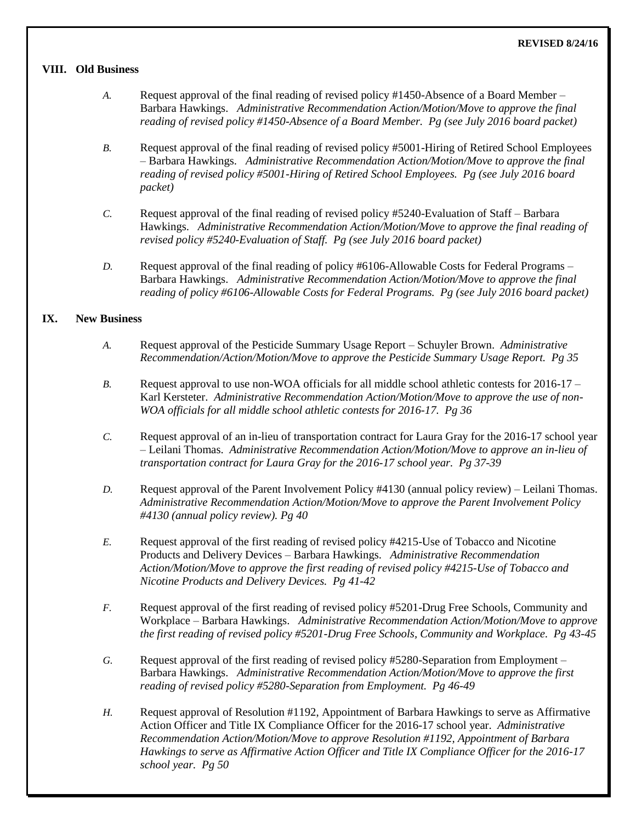#### **VIII. Old Business**

- *A.* Request approval of the final reading of revised policy #1450-Absence of a Board Member Barbara Hawkings. *Administrative Recommendation Action/Motion/Move to approve the final reading of revised policy #1450-Absence of a Board Member. Pg (see July 2016 board packet)*
- *B.* Request approval of the final reading of revised policy #5001-Hiring of Retired School Employees – Barbara Hawkings. *Administrative Recommendation Action/Motion/Move to approve the final reading of revised policy #5001-Hiring of Retired School Employees. Pg (see July 2016 board packet)*
- *C.* Request approval of the final reading of revised policy #5240-Evaluation of Staff Barbara Hawkings. *Administrative Recommendation Action/Motion/Move to approve the final reading of revised policy #5240-Evaluation of Staff. Pg (see July 2016 board packet)*
- *D.* Request approval of the final reading of policy #6106-Allowable Costs for Federal Programs Barbara Hawkings. *Administrative Recommendation Action/Motion/Move to approve the final reading of policy #6106-Allowable Costs for Federal Programs. Pg (see July 2016 board packet)*

#### **IX. New Business**

- *A.* Request approval of the Pesticide Summary Usage Report Schuyler Brown. *Administrative Recommendation/Action/Motion/Move to approve the Pesticide Summary Usage Report. Pg 35*
- *B.* Request approval to use non-WOA officials for all middle school athletic contests for 2016-17 Karl Kersteter. *Administrative Recommendation Action/Motion/Move to approve the use of non-WOA officials for all middle school athletic contests for 2016-17. Pg 36*
- *C.* Request approval of an in-lieu of transportation contract for Laura Gray for the 2016-17 school year – Leilani Thomas. *Administrative Recommendation Action/Motion/Move to approve an in-lieu of transportation contract for Laura Gray for the 2016-17 school year. Pg 37-39*
- *D.* Request approval of the Parent Involvement Policy #4130 (annual policy review) Leilani Thomas. *Administrative Recommendation Action/Motion/Move to approve the Parent Involvement Policy #4130 (annual policy review). Pg 40*
- *E.* Request approval of the first reading of revised policy #4215-Use of Tobacco and Nicotine Products and Delivery Devices – Barbara Hawkings. *Administrative Recommendation Action/Motion/Move to approve the first reading of revised policy #4215-Use of Tobacco and Nicotine Products and Delivery Devices. Pg 41-42*
- *F.* Request approval of the first reading of revised policy #5201-Drug Free Schools, Community and Workplace – Barbara Hawkings. *Administrative Recommendation Action/Motion/Move to approve the first reading of revised policy #5201-Drug Free Schools, Community and Workplace. Pg 43-45*
- *G.* Request approval of the first reading of revised policy #5280-Separation from Employment Barbara Hawkings. *Administrative Recommendation Action/Motion/Move to approve the first reading of revised policy #5280-Separation from Employment. Pg 46-49*
- *H.* Request approval of Resolution #1192, Appointment of Barbara Hawkings to serve as Affirmative Action Officer and Title IX Compliance Officer for the 2016-17 school year. *Administrative Recommendation Action/Motion/Move to approve Resolution #1192, Appointment of Barbara Hawkings to serve as Affirmative Action Officer and Title IX Compliance Officer for the 2016-17 school year. Pg 50*